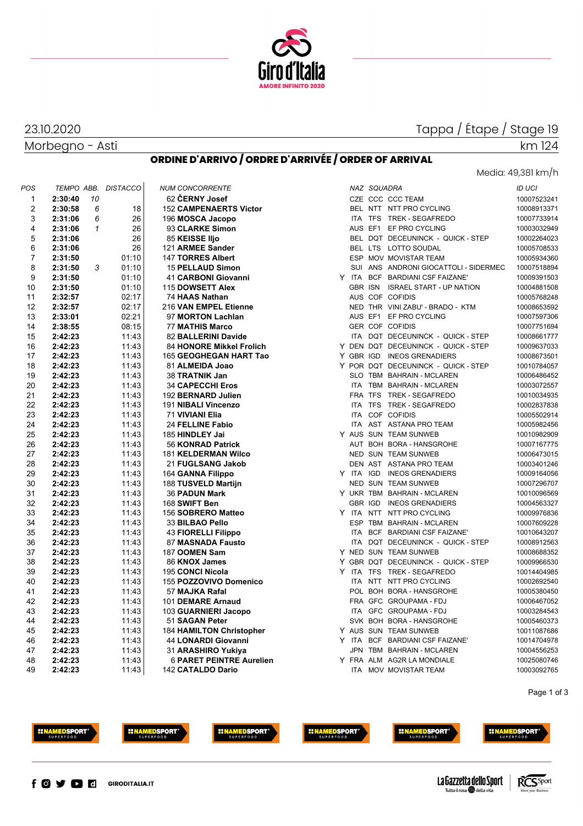

# Tappa / Étape / Stage 19

Morbegno - Asti

23.10.2020

#### **ORDINE D'ARRIVO / ORDRE D'ARRIVÉE / ORDER OF ARRIVAL**

km 124

| POS            |                    |              | TEMPO ABB. DISTACCO | <b>NUM CONCORRENTE</b>              |            | NAZ SQUADRA    |                                                       | <b>ID UCI</b> |
|----------------|--------------------|--------------|---------------------|-------------------------------------|------------|----------------|-------------------------------------------------------|---------------|
| $\mathbf{1}$   | 2:30:40            | 10           |                     | 62 ČERNY Josef                      |            |                | CZE CCC CCC TEAM                                      | 10007523241   |
| $\overline{2}$ | 2:30:58            | 6            | 18                  | <b>152 CAMPENAERTS Victor</b>       |            |                | BEL NTT NTT PRO CYCLING                               | 10008913371   |
| 3              | 2:31:06            | 6            | 26                  | 196 MOSCA Jacopo                    |            |                | ITA TFS TREK - SEGAFREDO                              | 10007733914   |
| 4              | 2:31:06            | $\mathbf{1}$ | 26                  | 93 CLARKE Simon                     |            |                | AUS EF1 EF PRO CYCLING                                | 10003032949   |
| 5              | 2:31:06            |              | 26                  | 85 KEISSE Iljo                      |            |                | BEL DQT DECEUNINCK - QUICK - STEP                     | 10002264023   |
| 6              | 2:31:06            |              | 26                  | 121 ARMEE Sander                    |            |                | BEL LTS LOTTO SOUDAL                                  | 10005708533   |
| $\overline{7}$ | 2:31:50            |              | 01:10               | 147 TORRES Albert                   |            |                | ESP MOV MOVISTAR TEAM                                 | 10005934360   |
| 8              | 2:31:50            | 3            | 01:10               | <b>15 PELLAUD Simon</b>             |            |                | SUI ANS ANDRONI GIOCATTOLI - SIDERMEC                 | 10007518894   |
| 9              | 2:31:50            |              | 01:10               | 41 CARBONI Giovanni                 |            |                | Y ITA BCF BARDIANI CSF FAIZANE'                       | 10009391503   |
| 10             | 2:31:50            |              | 01:10               | 115 DOWSETT Alex                    |            | <b>GBR ISN</b> | <b>ISRAEL START - UP NATION</b>                       | 10004881508   |
| 11             | 2:32:57            |              | 02:17               | 74 HAAS Nathan                      |            |                | AUS COF COFIDIS                                       | 10005768248   |
| 12             | 2:32:57            |              | 02:17               | 216 VAN EMPEL Etienne               |            |                | NED THR VINI ZABU' - BRADO - KTM                      | 10008653592   |
| 13             | 2:33:01            |              | 02:21               | 97 MORTON Lachlan                   |            | AUS EF1        | EF PRO CYCLING                                        | 10007597306   |
| 14             | 2:38:55            |              | 08:15               | <b>77 MATHIS Marco</b>              |            |                | <b>GER COF COFIDIS</b>                                | 10007751694   |
| 15             | 2:42:23            |              | 11:43               | 82 BALLERINI Davide                 |            |                | ITA DOT DECEUNINCK - QUICK - STEP                     | 10008661777   |
| 16             | 2:42:23            |              | 11:43               | 84 HONORE Mikkel Frolich            |            |                | Y DEN DQT DECEUNINCK - QUICK - STEP                   | 10009637033   |
| 17             | 2:42:23            |              | 11:43               | 165 GEOGHEGAN HART Tao              |            |                | Y GBR IGD INEOS GRENADIERS                            | 10008673501   |
| 18             | 2:42:23            |              | 11:43               | 81 ALMEIDA Joao                     |            |                | Y POR DQT DECEUNINCK - QUICK - STEP                   | 10010784057   |
| 19             | 2:42:23            |              | 11:43               | 38 TRATNIK Jan                      |            |                | SLO TBM BAHRAIN - MCLAREN                             | 10006486452   |
| 20             | 2:42:23            |              | 11:43               | <b>34 CAPECCHI Eros</b>             |            |                | ITA TBM BAHRAIN - MCLAREN                             | 10003072557   |
| 21             | 2:42:23            |              | 11:43               | 192 BERNARD Julien                  |            |                | FRA TFS TREK - SEGAFREDO                              | 10010034935   |
| 22             | 2:42:23            |              | 11:43               | 191 NIBALI Vincenzo                 |            |                | ITA TFS TREK - SEGAFREDO                              | 10002837838   |
| 23             | 2:42:23            |              | 11:43               | 71 VIVIANI Elia                     |            |                | ITA COF COFIDIS                                       | 10005502914   |
| 24             | 2:42:23            |              | 11:43               |                                     |            |                | ITA AST ASTANA PRO TEAM                               | 10005982456   |
| 25             | 2:42:23            |              | 11:43               | 24 FELLINE Fabio<br>185 HINDLEY Jai |            |                | Y AUS SUN TEAM SUNWEB                                 | 10010982909   |
|                |                    |              |                     |                                     |            |                | AUT BOH BORA - HANSGROHE                              |               |
| 26             | 2:42:23            |              | 11:43               | 56 KONRAD Patrick                   |            |                |                                                       | 10007167775   |
| 27<br>28       | 2:42:23<br>2:42:23 |              | 11:43<br>11:43      | <b>181 KELDERMAN Wilco</b>          |            |                | <b>NED SUN TEAM SUNWEB</b><br>DEN AST ASTANA PRO TEAM | 10006473015   |
|                |                    |              |                     | 21 FUGLSANG Jakob                   |            |                |                                                       | 10003401246   |
| 29             | 2:42:23            |              | 11:43               | 164 GANNA Filippo                   |            |                | Y ITA IGD INEOS GRENADIERS                            | 10009164056   |
| 30             | 2:42:23            |              | 11:43               | 188 TUSVELD Martijn                 |            |                | <b>NED SUN TEAM SUNWEB</b>                            | 10007296707   |
| 31             | 2:42:23            |              | 11:43               | <b>36 PADUN Mark</b>                |            |                | Y UKR TBM BAHRAIN - MCLAREN                           | 10010096569   |
| 32             | 2:42:23            |              | 11:43               | 168 SWIFT Ben                       |            |                | GBR IGD INEOS GRENADIERS                              | 10004563327   |
| 33             | 2:42:23            |              | 11:43               | 156 SOBRERO Matteo                  |            |                | Y ITA NTT NTT PRO CYCLING                             | 10009976836   |
| 34             | 2:42:23            |              | 11:43               | 33 BILBAO Pello                     | <b>ESP</b> |                | TBM BAHRAIN - MCLAREN                                 | 10007609228   |
| 35             | 2:42:23            |              | 11:43               | <b>43 FIORELLI Filippo</b>          |            |                | ITA BCF BARDIANI CSF FAIZANE'                         | 10010643207   |
| 36             | 2:42:23            |              | 11:43               | 87 MASNADA Fausto                   | <b>ITA</b> |                | DQT DECEUNINCK - QUICK - STEP                         | 10008912563   |
| 37             | 2:42:23            |              | 11:43               | 187 OOMEN Sam                       |            |                | Y NED SUN TEAM SUNWEB                                 | 10008688352   |
| 38             | 2:42:23            |              | 11:43               | 86 KNOX James                       |            |                | Y GBR DQT DECEUNINCK - QUICK - STEP                   | 10009966530   |
| 39             | 2:42:23            |              | 11:43               | 195 CONCI Nicola                    |            |                | Y ITA TFS TREK-SEGAFREDO                              | 10014404985   |
| 40             | 2:42:23            |              | 11:43               | 155 POZZOVIVO Domenico              |            |                | ITA NTT NTT PRO CYCLING                               | 10002692540   |
| 41             | 2:42:23            |              | 11:43               | 57 MAJKA Rafal                      |            |                | POL BOH BORA - HANSGROHE                              | 10005380450   |
| 42             | 2:42:23            |              | 11:43               | 101 DEMARE Arnaud                   |            |                | FRA GFC GROUPAMA - FDJ                                | 10006467052   |
| 43             | 2:42:23            |              | 11:43               | 103 GUARNIERI Jacopo                |            |                | ITA GFC GROUPAMA - FDJ                                | 10003284543   |
| 44             | 2:42:23            |              | 11:43               | 51 SAGAN Peter                      |            |                | SVK BOH BORA - HANSGROHE                              | 10005460373   |
| 45             | 2:42:23            |              | 11:43               | <b>184 HAMILTON Christopher</b>     |            |                | Y AUS SUN TEAM SUNWEB                                 | 10011087686   |
| 46             | 2:42:23            |              | 11:43               | 44 LONARDI Giovanni                 | Y ITA      |                | BCF BARDIANI CSF FAIZANE'                             | 10014704978   |
| 47             | 2:42:23            |              | 11:43               | 31 ARASHIRO Yukiya                  | <b>JPN</b> |                | TBM BAHRAIN - MCLAREN                                 | 10004556253   |
| 48             | 2:42:23            |              | 11:43               | <b>6 PARET PEINTRE Aurelien</b>     |            |                | Y FRA ALM AG2R LA MONDIALE                            | 10025080746   |
| 49             | 2:42:23            |              | 11:43               | 142 CATALDO Dario                   |            |                | ITA MOV MOVISTAR TEAM                                 | 10003092765   |

|            | NAZ SQUADRA |                                       | ID UCI    |
|------------|-------------|---------------------------------------|-----------|
|            |             | CZE CCC CCC TEAM                      | 100075232 |
|            |             | BEL NTT NTT PRO CYCLING               | 100089133 |
|            |             | ITA TFS TREK - SEGAFREDO              | 100077339 |
|            |             | AUS EF1 EF PRO CYCLING                | 100030329 |
|            |             | BEL DQT DECEUNINCK - QUICK - STEP     | 100022640 |
|            |             | BEL LTS LOTTO SOUDAL                  | 100057085 |
|            |             | ESP MOV MOVISTAR TEAM                 | 100059343 |
|            |             | SUI ANS ANDRONI GIOCATTOLI - SIDERMEC | 100075188 |
|            |             | Y ITA BCF BARDIANI CSF FAIZANE'       | 100093915 |
|            |             | GBR ISN ISRAEL START - UP NATION      | 100048815 |
|            |             | AUS COF COFIDIS                       | 100057682 |
|            |             | NED THR VINI ZABU' - BRADO - KTM      | 100086535 |
|            |             | AUS EF1 EF PRO CYCLING                | 100075973 |
|            |             | GER COF COFIDIS                       | 100077516 |
|            |             | ITA DQT DECEUNINCK - QUICK - STEP     | 100086617 |
|            |             | Y DEN DQT DECEUNINCK - QUICK-STEP     | 100096370 |
|            |             | Y GBR IGD INEOS GRENADIERS            | 100086735 |
|            |             | Y POR DQT DECEUNINCK - QUICK - STEP   | 100107840 |
|            |             | SLO TBM BAHRAIN - MCLAREN             | 100064864 |
|            |             | ITA TBM BAHRAIN - MCLAREN             | 100030725 |
|            | FRA TFS     | TREK - SEGAFREDO                      | 100100349 |
|            | ITA TFS     | TREK - SEGAFREDO                      | 100028378 |
|            |             | ITA COF COFIDIS                       | 100055029 |
| <b>ITA</b> |             | AST ASTANA PRO TEAM                   |           |
|            |             |                                       | 100059824 |
|            |             | Y AUS SUN TEAM SUNWEB                 | 100109829 |
|            |             | AUT BOH BORA - HANSGROHE              | 100071677 |
|            |             | NED SUN TEAM SUNWEB                   | 100064730 |
|            |             | DEN AST ASTANA PRO TEAM               | 100034012 |
|            |             | Y ITA IGD INEOS GRENADIERS            | 100091640 |
|            |             | NED SUN TEAM SUNWEB                   | 100072967 |
|            |             | Y UKR TBM BAHRAIN-MCLAREN             | 100100965 |
|            |             | GBR IGD INEOS GRENADIERS              | 100045633 |
|            |             | Y ITA NTT NTT PRO CYCLING             | 100099768 |
|            |             | ESP TBM BAHRAIN - MCLAREN             | 100076092 |
|            |             | ITA BCF BARDIANI CSF FAIZANE'         | 100106432 |
|            |             | ITA DQT DECEUNINCK - QUICK - STEP     | 100089125 |
|            |             | Y NED SUN TEAM SUNWEB                 | 100086883 |
|            |             | Y GBR DQT DECEUNINCK - QUICK - STEP   | 100099665 |
|            |             | Y ITA TFS TREK-SEGAFREDO              | 100144049 |
|            |             | ITA NTT NTT PRO CYCLING               | 100026925 |
|            |             | POL BOH BORA - HANSGROHE              | 100053804 |
|            |             | FRA GFC GROUPAMA-FDJ                  | 100064670 |
|            |             | ITA GFC GROUPAMA - FDJ                | 100032845 |
|            |             | SVK BOH BORA - HANSGROHE              | 100054603 |
|            |             | Y AUS SUN TEAM SUNWEB                 | 100110876 |
|            |             | Y ITA BCF BARDIANI CSF FAIZANE'       | 100147049 |
|            |             | JPN TBM BAHRAIN - MCLAREN             | 100045562 |
|            |             | Y FRA ALM AG2R LA MONDIALE            | 100250807 |
|            |             | ITA MOV MOVISTAR TFAM                 | 100030927 |

Page 1 of 3





**HINAMEDSPORT** 





 $f$   $O$   $\vee$   $O$   $O$ **GIRODITALIA.IT**  La Gazzetta dello Sport Tutto il rosa della vita

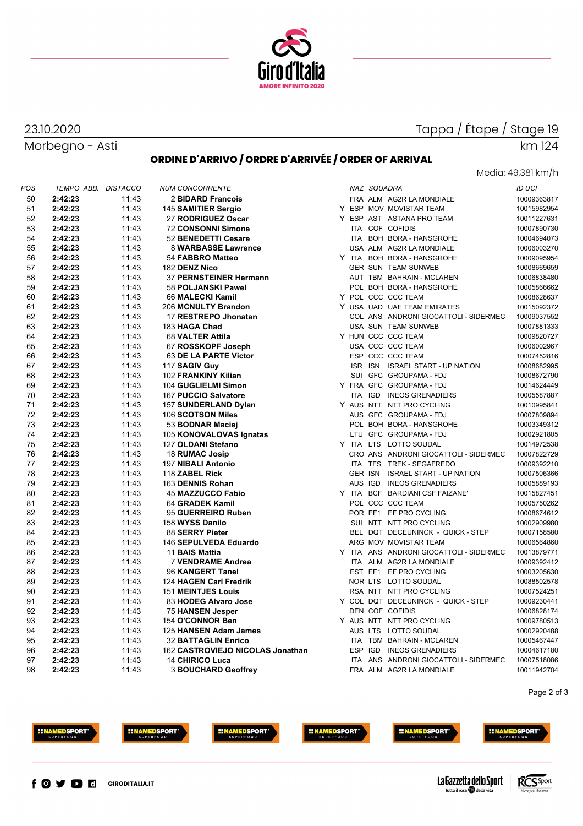

## Tappa / Étape / Stage 19

Media: 49,381 km/h

km 124

## Morbegno - Asti

23.10.2020

### **ORDINE D'ARRIVO / ORDRE D'ARRIVÉE / ORDER OF ARRIVAL**

| POS | TEMPO ABB. | <b>DISTACCO</b> | <b>NUM CONCORRENTE</b>           |  | NAZ SQUADRA |                                         | <b>ID UCI</b> |
|-----|------------|-----------------|----------------------------------|--|-------------|-----------------------------------------|---------------|
| 50  | 2:42:23    | 11:43           | 2 BIDARD Francois                |  |             | FRA ALM AG2R LA MONDIALE                | 10009363817   |
| 51  | 2:42:23    | 11:43           | 145 SAMITIER Sergio              |  |             | Y ESP MOV MOVISTAR TEAM                 | 10015982954   |
| 52  | 2:42:23    | 11:43           | 27 RODRIGUEZ Oscar               |  |             | Y ESP AST ASTANA PRO TEAM               | 10011227631   |
| 53  | 2:42:23    | 11:43           | <b>72 CONSONNI Simone</b>        |  |             | ITA COF COFIDIS                         | 10007890730   |
| 54  | 2:42:23    | 11:43           | 52 BENEDETTI Cesare              |  |             | ITA BOH BORA - HANSGROHE                | 10004694073   |
| 55  | 2:42:23    | 11:43           | 8 WARBASSE Lawrence              |  |             | USA ALM AG2R LA MONDIALE                | 10006003270   |
| 56  | 2:42:23    | 11:43           | 54 FABBRO Matteo                 |  |             | Y ITA BOH BORA - HANSGROHE              | 10009095954   |
| 57  | 2:42:23    | 11:43           | 182 DENZ Nico                    |  |             | <b>GER SUN TEAM SUNWEB</b>              | 10008669659   |
| 58  | 2:42:23    | 11:43           | 37 PERNSTEINER Hermann           |  |             | AUT TBM BAHRAIN - MCLAREN               | 10006838480   |
| 59  | 2:42:23    | 11:43           | 58 POLJANSKI Pawel               |  |             | POL BOH BORA - HANSGROHE                | 10005866662   |
| 60  | 2:42:23    | 11:43           | 66 MALECKI Kamil                 |  |             | Y POL CCC CCC TEAM                      | 10008628637   |
| 61  | 2:42:23    | 11:43           | 206 MCNULTY Brandon              |  |             | Y USA UAD UAE TEAM EMIRATES             | 10015092372   |
| 62  | 2:42:23    | 11:43           | 17 RESTREPO Jhonatan             |  |             | COL ANS ANDRONI GIOCATTOLI - SIDERMEC   | 10009037552   |
| 63  | 2:42:23    | 11:43           | 183 HAGA Chad                    |  |             | USA SUN TEAM SUNWEB                     | 10007881333   |
| 64  | 2:42:23    | 11:43           | 68 VALTER Attila                 |  |             | Y HUN CCC CCC TEAM                      | 10009820727   |
| 65  | 2:42:23    | 11:43           | 67 ROSSKOPF Joseph               |  |             | USA CCC CCC TEAM                        | 10006002967   |
| 66  | 2:42:23    | 11:43           | 63 DE LA PARTE Victor            |  |             | ESP CCC CCC TEAM                        | 10007452816   |
| 67  | 2:42:23    | 11:43           | 117 SAGIV Guy                    |  |             | ISR ISN ISRAEL START - UP NATION        | 10008682995   |
| 68  | 2:42:23    | 11:43           | 102 FRANKINY Kilian              |  |             | SUI GFC GROUPAMA - FDJ                  | 10008672790   |
| 69  | 2:42:23    | 11:43           | 104 GUGLIELMI Simon              |  |             | Y FRA GFC GROUPAMA-FDJ                  | 10014624449   |
| 70  | 2:42:23    | 11:43           | 167 PUCCIO Salvatore             |  |             | ITA IGD INEOS GRENADIERS                | 10005587887   |
| 71  | 2:42:23    | 11:43           | 157 SUNDERLAND Dylan             |  |             | Y AUS NTT NTT PRO CYCLING               | 10010995841   |
| 72  | 2:42:23    | 11:43           | 106 SCOTSON Miles                |  |             | AUS GFC GROUPAMA - FDJ                  | 10007809894   |
| 73  | 2:42:23    | 11:43           | 53 BODNAR Maciej                 |  |             | POL BOH BORA - HANSGROHE                | 10003349312   |
| 74  | 2:42:23    | 11:43           | 105 KONOVALOVAS Ignatas          |  |             | LTU GFC GROUPAMA - FDJ                  | 10002921805   |
| 75  | 2:42:23    | 11:43           | 127 OLDANI Stefano               |  |             | Y ITA LTS LOTTO SOUDAL                  | 10014972538   |
| 76  | 2:42:23    | 11:43           | 18 RUMAC Josip                   |  |             | CRO ANS ANDRONI GIOCATTOLI - SIDERMEC   | 10007822729   |
| 77  | 2:42:23    | 11:43           | 197 NIBALI Antonio               |  |             | ITA TFS TREK - SEGAFREDO                | 10009392210   |
| 78  | 2:42:23    | 11:43           | 118 ZABEL Rick                   |  |             | GER ISN ISRAEL START - UP NATION        | 10007506366   |
| 79  | 2:42:23    | 11:43           | 163 DENNIS Rohan                 |  |             | AUS IGD INEOS GRENADIERS                | 10005889193   |
| 80  | 2:42:23    | 11:43           | <b>45 MAZZUCCO Fabio</b>         |  |             | Y ITA BCF BARDIANI CSF FAIZANE'         | 10015827451   |
| 81  | 2:42:23    | 11:43           | 64 GRADEK Kamil                  |  |             | POL CCC CCC TEAM                        | 10005750262   |
| 82  | 2:42:23    | 11:43           | 95 GUERREIRO Ruben               |  |             | POR EF1 EF PRO CYCLING                  | 10008674612   |
| 83  | 2:42:23    | 11:43           | 158 WYSS Danilo                  |  |             | SUI NTT NTT PRO CYCLING                 | 10002909980   |
| 84  | 2:42:23    | 11:43           | 88 SERRY Pieter                  |  |             | BEL DQT DECEUNINCK - QUICK - STEP       | 10007158580   |
| 85  | 2:42:23    | 11:43           | 146 SEPULVEDA Eduardo            |  |             | ARG MOV MOVISTAR TEAM                   | 10006564860   |
| 86  | 2:42:23    | 11:43           | 11 BAIS Mattia                   |  |             | Y ITA ANS ANDRONI GIOCATTOLI - SIDERMEC | 10013879771   |
| 87  | 2:42:23    | 11:43           | <b>7 VENDRAME Andrea</b>         |  |             | ITA ALM AG2R LA MONDIALE                | 10009392412   |
| 88  | 2:42:23    | 11:43           | 96 KANGERT Tanel                 |  |             | EST EF1 EF PRO CYCLING                  | 10003205630   |
| 89  | 2:42:23    | 11:43           | 124 HAGEN Carl Fredrik           |  |             | NOR LTS LOTTO SOUDAL                    | 10088502578   |
| 90  | 2:42:23    | 11:43           | <b>151 MEINTJES Louis</b>        |  |             | RSA NTT NTT PRO CYCLING                 | 10007524251   |
| 91  | 2:42:23    | 11:43           | 83 HODEG Alvaro Jose             |  |             | Y COL DQT DECEUNINCK - QUICK - STEP     | 10009230441   |
| 92  | 2:42:23    | 11:43           | 75 HANSEN Jesper                 |  |             | DEN COF COFIDIS                         | 10006828174   |
| 93  | 2:42:23    | 11:43           | 154 O'CONNOR Ben                 |  |             | Y AUS NTT NTT PRO CYCLING               | 10009780513   |
| 94  | 2:42:23    | 11:43           | 125 HANSEN Adam James            |  |             | AUS LTS LOTTO SOUDAL                    | 10002920488   |
| 95  | 2:42:23    | 11:43           | <b>32 BATTAGLIN Enrico</b>       |  |             | ITA TBM BAHRAIN - MCLAREN               | 10005467447   |
| 96  | 2:42:23    | 11:43           | 162 CASTROVIEJO NICOLAS Jonathan |  |             | ESP IGD INEOS GRENADIERS                | 10004617180   |
| 97  | 2:42:23    | 11:43           | <b>14 CHIRICO Luca</b>           |  |             | ITA ANS ANDRONI GIOCATTOLI - SIDERMEC   | 10007518086   |
| 98  | 2:42:23    | 11:43           | <b>3 BOUCHARD Geoffrey</b>       |  |             | FRA ALM AG2R LA MONDIALE                | 10011942704   |
|     |            |                 |                                  |  |             |                                         |               |

Page 2 of 3